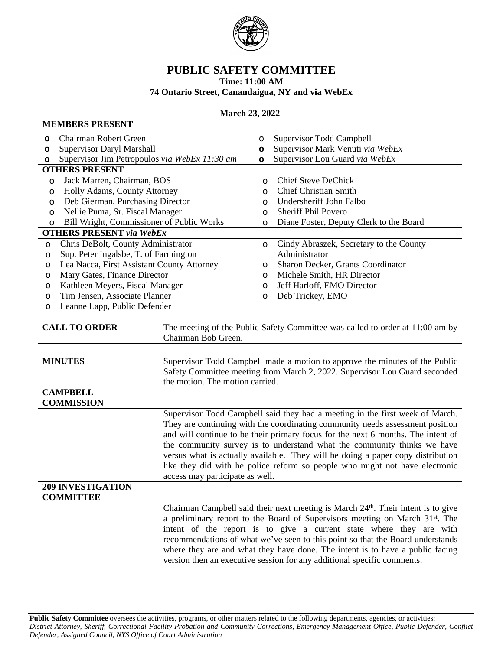

## **PUBLIC SAFETY COMMITTEE**

**Time: 11:00 AM**

## **74 Ontario Street, Canandaigua, NY and via WebEx**

|                                              |                                                                  |                                                                                                                                                                                                                                                                                                                                                                                                                                                                                                | <b>March 23, 2022</b> |                                                                                                                                                                                                                                                                                                                                                                                                                                                                                                   |  |  |  |
|----------------------------------------------|------------------------------------------------------------------|------------------------------------------------------------------------------------------------------------------------------------------------------------------------------------------------------------------------------------------------------------------------------------------------------------------------------------------------------------------------------------------------------------------------------------------------------------------------------------------------|-----------------------|---------------------------------------------------------------------------------------------------------------------------------------------------------------------------------------------------------------------------------------------------------------------------------------------------------------------------------------------------------------------------------------------------------------------------------------------------------------------------------------------------|--|--|--|
|                                              | <b>MEMBERS PRESENT</b>                                           |                                                                                                                                                                                                                                                                                                                                                                                                                                                                                                |                       |                                                                                                                                                                                                                                                                                                                                                                                                                                                                                                   |  |  |  |
| $\circ$                                      | Chairman Robert Green                                            |                                                                                                                                                                                                                                                                                                                                                                                                                                                                                                | $\circ$               | Supervisor Todd Campbell                                                                                                                                                                                                                                                                                                                                                                                                                                                                          |  |  |  |
| o                                            | Supervisor Daryl Marshall                                        |                                                                                                                                                                                                                                                                                                                                                                                                                                                                                                | o                     | Supervisor Mark Venuti via WebEx                                                                                                                                                                                                                                                                                                                                                                                                                                                                  |  |  |  |
| o                                            | Supervisor Jim Petropoulos via WebEx 11:30 am                    |                                                                                                                                                                                                                                                                                                                                                                                                                                                                                                | $\circ$               | Supervisor Lou Guard via WebEx                                                                                                                                                                                                                                                                                                                                                                                                                                                                    |  |  |  |
|                                              | <b>OTHERS PRESENT</b>                                            |                                                                                                                                                                                                                                                                                                                                                                                                                                                                                                |                       |                                                                                                                                                                                                                                                                                                                                                                                                                                                                                                   |  |  |  |
| $\circ$                                      | Jack Marren, Chairman, BOS                                       |                                                                                                                                                                                                                                                                                                                                                                                                                                                                                                | $\circ$               | <b>Chief Steve DeChick</b>                                                                                                                                                                                                                                                                                                                                                                                                                                                                        |  |  |  |
| O                                            | Holly Adams, County Attorney                                     |                                                                                                                                                                                                                                                                                                                                                                                                                                                                                                | O                     | <b>Chief Christian Smith</b>                                                                                                                                                                                                                                                                                                                                                                                                                                                                      |  |  |  |
| O                                            | Deb Gierman, Purchasing Director                                 |                                                                                                                                                                                                                                                                                                                                                                                                                                                                                                | O                     | Undersheriff John Falbo                                                                                                                                                                                                                                                                                                                                                                                                                                                                           |  |  |  |
| $\circ$                                      | Nellie Puma, Sr. Fiscal Manager                                  |                                                                                                                                                                                                                                                                                                                                                                                                                                                                                                | O                     | <b>Sheriff Phil Povero</b>                                                                                                                                                                                                                                                                                                                                                                                                                                                                        |  |  |  |
| $\circ$                                      | Bill Wright, Commissioner of Public Works                        |                                                                                                                                                                                                                                                                                                                                                                                                                                                                                                | O                     | Diane Foster, Deputy Clerk to the Board                                                                                                                                                                                                                                                                                                                                                                                                                                                           |  |  |  |
|                                              | <b>OTHERS PRESENT</b> via WebEx                                  |                                                                                                                                                                                                                                                                                                                                                                                                                                                                                                |                       |                                                                                                                                                                                                                                                                                                                                                                                                                                                                                                   |  |  |  |
| O                                            | Chris DeBolt, County Administrator                               |                                                                                                                                                                                                                                                                                                                                                                                                                                                                                                | $\circ$               | Cindy Abraszek, Secretary to the County                                                                                                                                                                                                                                                                                                                                                                                                                                                           |  |  |  |
| $\circ$                                      | Sup. Peter Ingalsbe, T. of Farmington                            |                                                                                                                                                                                                                                                                                                                                                                                                                                                                                                |                       | Administrator                                                                                                                                                                                                                                                                                                                                                                                                                                                                                     |  |  |  |
| O                                            | Lea Nacca, First Assistant County Attorney                       |                                                                                                                                                                                                                                                                                                                                                                                                                                                                                                | O                     | Sharon Decker, Grants Coordinator                                                                                                                                                                                                                                                                                                                                                                                                                                                                 |  |  |  |
| O                                            | Mary Gates, Finance Director                                     |                                                                                                                                                                                                                                                                                                                                                                                                                                                                                                | $\circ$               | Michele Smith, HR Director                                                                                                                                                                                                                                                                                                                                                                                                                                                                        |  |  |  |
| O                                            | Kathleen Meyers, Fiscal Manager<br>Tim Jensen, Associate Planner |                                                                                                                                                                                                                                                                                                                                                                                                                                                                                                | O                     | Jeff Harloff, EMO Director                                                                                                                                                                                                                                                                                                                                                                                                                                                                        |  |  |  |
| O                                            | Leanne Lapp, Public Defender                                     |                                                                                                                                                                                                                                                                                                                                                                                                                                                                                                | O                     | Deb Trickey, EMO                                                                                                                                                                                                                                                                                                                                                                                                                                                                                  |  |  |  |
| O                                            |                                                                  |                                                                                                                                                                                                                                                                                                                                                                                                                                                                                                |                       |                                                                                                                                                                                                                                                                                                                                                                                                                                                                                                   |  |  |  |
| <b>CALL TO ORDER</b>                         |                                                                  | The meeting of the Public Safety Committee was called to order at 11:00 am by<br>Chairman Bob Green.                                                                                                                                                                                                                                                                                                                                                                                           |                       |                                                                                                                                                                                                                                                                                                                                                                                                                                                                                                   |  |  |  |
| <b>MINUTES</b>                               |                                                                  | Supervisor Todd Campbell made a motion to approve the minutes of the Public<br>Safety Committee meeting from March 2, 2022. Supervisor Lou Guard seconded<br>the motion. The motion carried.                                                                                                                                                                                                                                                                                                   |                       |                                                                                                                                                                                                                                                                                                                                                                                                                                                                                                   |  |  |  |
| <b>CAMPBELL</b><br><b>COMMISSION</b>         |                                                                  |                                                                                                                                                                                                                                                                                                                                                                                                                                                                                                |                       |                                                                                                                                                                                                                                                                                                                                                                                                                                                                                                   |  |  |  |
|                                              |                                                                  | Supervisor Todd Campbell said they had a meeting in the first week of March.<br>They are continuing with the coordinating community needs assessment position<br>and will continue to be their primary focus for the next 6 months. The intent of<br>the community survey is to understand what the community thinks we have<br>versus what is actually available. They will be doing a paper copy distribution<br>like they did with he police reform so people who might not have electronic |                       |                                                                                                                                                                                                                                                                                                                                                                                                                                                                                                   |  |  |  |
|                                              |                                                                  | access may participate as well.                                                                                                                                                                                                                                                                                                                                                                                                                                                                |                       |                                                                                                                                                                                                                                                                                                                                                                                                                                                                                                   |  |  |  |
| <b>209 INVESTIGATION</b><br><b>COMMITTEE</b> |                                                                  |                                                                                                                                                                                                                                                                                                                                                                                                                                                                                                |                       |                                                                                                                                                                                                                                                                                                                                                                                                                                                                                                   |  |  |  |
|                                              |                                                                  |                                                                                                                                                                                                                                                                                                                                                                                                                                                                                                |                       | Chairman Campbell said their next meeting is March 24th. Their intent is to give<br>a preliminary report to the Board of Supervisors meeting on March 31 <sup>st</sup> . The<br>intent of the report is to give a current state where they are with<br>recommendations of what we've seen to this point so that the Board understands<br>where they are and what they have done. The intent is to have a public facing<br>version then an executive session for any additional specific comments. |  |  |  |

Public Safety Committee oversees the activities, programs, or other matters related to the following departments, agencies, or activities: District Attorney, Sheriff, Correctional Facility Probation and Community Corrections, Emergency Management Office, Public Defender, Conflict *Defender, Assigned Council, NYS Office of Court Administration*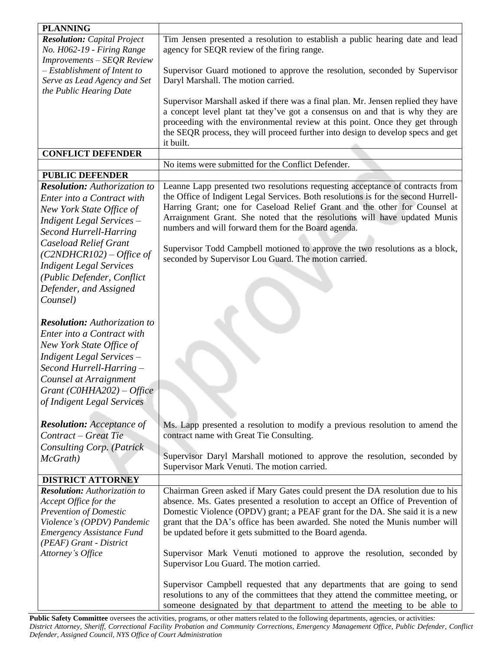| <b>PLANNING</b>                     |                                                                                                                          |
|-------------------------------------|--------------------------------------------------------------------------------------------------------------------------|
| <b>Resolution:</b> Capital Project  | Tim Jensen presented a resolution to establish a public hearing date and lead                                            |
| No. H062-19 - Firing Range          | agency for SEQR review of the firing range.                                                                              |
| Improvements - SEQR Review          |                                                                                                                          |
| $-Estabilishment of Intent to$      | Supervisor Guard motioned to approve the resolution, seconded by Supervisor                                              |
| Serve as Lead Agency and Set        | Daryl Marshall. The motion carried.                                                                                      |
| the Public Hearing Date             |                                                                                                                          |
|                                     | Supervisor Marshall asked if there was a final plan. Mr. Jensen replied they have                                        |
|                                     | a concept level plant tat they've got a consensus on and that is why they are                                            |
|                                     | proceeding with the environmental review at this point. Once they get through                                            |
|                                     | the SEQR process, they will proceed further into design to develop specs and get<br>it built.                            |
| <b>CONFLICT DEFENDER</b>            |                                                                                                                          |
|                                     | No items were submitted for the Conflict Defender.                                                                       |
| <b>PUBLIC DEFENDER</b>              |                                                                                                                          |
| <b>Resolution:</b> Authorization to | Leanne Lapp presented two resolutions requesting acceptance of contracts from                                            |
| Enter into a Contract with          | the Office of Indigent Legal Services. Both resolutions is for the second Hurrell-                                       |
| New York State Office of            | Harring Grant; one for Caseload Relief Grant and the other for Counsel at                                                |
| Indigent Legal Services -           | Arraignment Grant. She noted that the resolutions will have updated Munis                                                |
| <b>Second Hurrell-Harring</b>       | numbers and will forward them for the Board agenda.                                                                      |
| <b>Caseload Relief Grant</b>        |                                                                                                                          |
| $(C2NDHCR102) - Office$ of          | Supervisor Todd Campbell motioned to approve the two resolutions as a block,                                             |
| <b>Indigent Legal Services</b>      | seconded by Supervisor Lou Guard. The motion carried.                                                                    |
| (Public Defender, Conflict          |                                                                                                                          |
| Defender, and Assigned              |                                                                                                                          |
| Counsel)                            |                                                                                                                          |
|                                     |                                                                                                                          |
| <b>Resolution:</b> Authorization to |                                                                                                                          |
| Enter into a Contract with          |                                                                                                                          |
| New York State Office of            |                                                                                                                          |
|                                     |                                                                                                                          |
| <b>Indigent Legal Services –</b>    |                                                                                                                          |
| Second Hurrell-Harring -            |                                                                                                                          |
| Counsel at Arraignment              |                                                                                                                          |
| Grant (COHHA202) - Office           |                                                                                                                          |
| of Indigent Legal Services          |                                                                                                                          |
|                                     |                                                                                                                          |
| <b>Resolution:</b> Acceptance of    | Ms. Lapp presented a resolution to modify a previous resolution to amend the<br>contract name with Great Tie Consulting. |
| Contract – Great Tie                |                                                                                                                          |
| <b>Consulting Corp.</b> (Patrick    | Supervisor Daryl Marshall motioned to approve the resolution, seconded by                                                |
| McGrath)                            | Supervisor Mark Venuti. The motion carried.                                                                              |
| <b>DISTRICT ATTORNEY</b>            |                                                                                                                          |
| <b>Resolution:</b> Authorization to | Chairman Green asked if Mary Gates could present the DA resolution due to his                                            |
| Accept Office for the               | absence. Ms. Gates presented a resolution to accept an Office of Prevention of                                           |
| <b>Prevention of Domestic</b>       | Domestic Violence (OPDV) grant; a PEAF grant for the DA. She said it is a new                                            |
| Violence's (OPDV) Pandemic          | grant that the DA's office has been awarded. She noted the Munis number will                                             |
| <b>Emergency Assistance Fund</b>    | be updated before it gets submitted to the Board agenda.                                                                 |
| (PEAF) Grant - District             |                                                                                                                          |
| Attorney's Office                   | Supervisor Mark Venuti motioned to approve the resolution, seconded by                                                   |
|                                     | Supervisor Lou Guard. The motion carried.                                                                                |
|                                     |                                                                                                                          |
|                                     | Supervisor Campbell requested that any departments that are going to send                                                |
|                                     | resolutions to any of the committees that they attend the committee meeting, or                                          |
|                                     | someone designated by that department to attend the meeting to be able to                                                |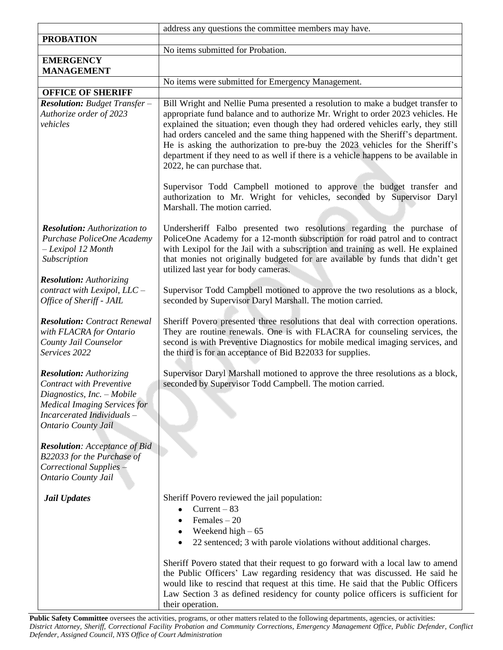Public Safety Committee oversees the activities, programs, or other matters related to the following departments, agencies, or activities: District Attorney, Sheriff, Correctional Facility Probation and Community Corrections, Emergency Management Office, Public Defender, Conflict *Defender, Assigned Council, NYS Office of Court Administration*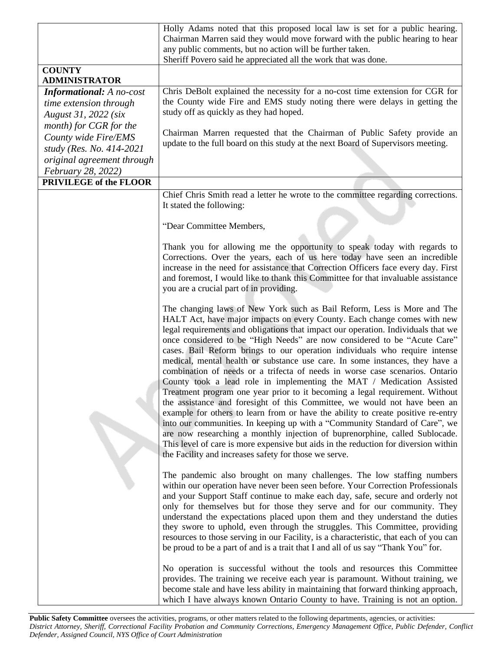|                                 | Holly Adams noted that this proposed local law is set for a public hearing.                                                                                                                                                                                                                                                                                                                                                                                                                                                                                                                                                                                                                                                                                                                                                                                                                                                                                                                                                                                                                                                                                                                                |
|---------------------------------|------------------------------------------------------------------------------------------------------------------------------------------------------------------------------------------------------------------------------------------------------------------------------------------------------------------------------------------------------------------------------------------------------------------------------------------------------------------------------------------------------------------------------------------------------------------------------------------------------------------------------------------------------------------------------------------------------------------------------------------------------------------------------------------------------------------------------------------------------------------------------------------------------------------------------------------------------------------------------------------------------------------------------------------------------------------------------------------------------------------------------------------------------------------------------------------------------------|
|                                 | Chairman Marren said they would move forward with the public hearing to hear                                                                                                                                                                                                                                                                                                                                                                                                                                                                                                                                                                                                                                                                                                                                                                                                                                                                                                                                                                                                                                                                                                                               |
|                                 | any public comments, but no action will be further taken.                                                                                                                                                                                                                                                                                                                                                                                                                                                                                                                                                                                                                                                                                                                                                                                                                                                                                                                                                                                                                                                                                                                                                  |
| <b>COUNTY</b>                   | Sheriff Povero said he appreciated all the work that was done.                                                                                                                                                                                                                                                                                                                                                                                                                                                                                                                                                                                                                                                                                                                                                                                                                                                                                                                                                                                                                                                                                                                                             |
| <b>ADMINISTRATOR</b>            |                                                                                                                                                                                                                                                                                                                                                                                                                                                                                                                                                                                                                                                                                                                                                                                                                                                                                                                                                                                                                                                                                                                                                                                                            |
| <b>Informational:</b> A no-cost | Chris DeBolt explained the necessity for a no-cost time extension for CGR for                                                                                                                                                                                                                                                                                                                                                                                                                                                                                                                                                                                                                                                                                                                                                                                                                                                                                                                                                                                                                                                                                                                              |
| time extension through          | the County wide Fire and EMS study noting there were delays in getting the                                                                                                                                                                                                                                                                                                                                                                                                                                                                                                                                                                                                                                                                                                                                                                                                                                                                                                                                                                                                                                                                                                                                 |
| August 31, 2022 (six            | study off as quickly as they had hoped.                                                                                                                                                                                                                                                                                                                                                                                                                                                                                                                                                                                                                                                                                                                                                                                                                                                                                                                                                                                                                                                                                                                                                                    |
| month) for CGR for the          |                                                                                                                                                                                                                                                                                                                                                                                                                                                                                                                                                                                                                                                                                                                                                                                                                                                                                                                                                                                                                                                                                                                                                                                                            |
| County wide Fire/EMS            | Chairman Marren requested that the Chairman of Public Safety provide an                                                                                                                                                                                                                                                                                                                                                                                                                                                                                                                                                                                                                                                                                                                                                                                                                                                                                                                                                                                                                                                                                                                                    |
| study (Res. No. 414-2021)       | update to the full board on this study at the next Board of Supervisors meeting.                                                                                                                                                                                                                                                                                                                                                                                                                                                                                                                                                                                                                                                                                                                                                                                                                                                                                                                                                                                                                                                                                                                           |
| original agreement through      |                                                                                                                                                                                                                                                                                                                                                                                                                                                                                                                                                                                                                                                                                                                                                                                                                                                                                                                                                                                                                                                                                                                                                                                                            |
| February 28, 2022)              |                                                                                                                                                                                                                                                                                                                                                                                                                                                                                                                                                                                                                                                                                                                                                                                                                                                                                                                                                                                                                                                                                                                                                                                                            |
| <b>PRIVILEGE of the FLOOR</b>   |                                                                                                                                                                                                                                                                                                                                                                                                                                                                                                                                                                                                                                                                                                                                                                                                                                                                                                                                                                                                                                                                                                                                                                                                            |
|                                 |                                                                                                                                                                                                                                                                                                                                                                                                                                                                                                                                                                                                                                                                                                                                                                                                                                                                                                                                                                                                                                                                                                                                                                                                            |
|                                 | Chief Chris Smith read a letter he wrote to the committee regarding corrections.<br>It stated the following:                                                                                                                                                                                                                                                                                                                                                                                                                                                                                                                                                                                                                                                                                                                                                                                                                                                                                                                                                                                                                                                                                               |
|                                 |                                                                                                                                                                                                                                                                                                                                                                                                                                                                                                                                                                                                                                                                                                                                                                                                                                                                                                                                                                                                                                                                                                                                                                                                            |
|                                 | "Dear Committee Members,                                                                                                                                                                                                                                                                                                                                                                                                                                                                                                                                                                                                                                                                                                                                                                                                                                                                                                                                                                                                                                                                                                                                                                                   |
|                                 | Thank you for allowing me the opportunity to speak today with regards to<br>Corrections. Over the years, each of us here today have seen an incredible<br>increase in the need for assistance that Correction Officers face every day. First<br>and foremost, I would like to thank this Committee for that invaluable assistance<br>you are a crucial part of in providing.                                                                                                                                                                                                                                                                                                                                                                                                                                                                                                                                                                                                                                                                                                                                                                                                                               |
|                                 | The changing laws of New York such as Bail Reform, Less is More and The<br>HALT Act, have major impacts on every County. Each change comes with new<br>legal requirements and obligations that impact our operation. Individuals that we<br>once considered to be "High Needs" are now considered to be "Acute Care"<br>cases. Bail Reform brings to our operation individuals who require intense<br>medical, mental health or substance use care. In some instances, they have a<br>combination of needs or a trifecta of needs in worse case scenarios. Ontario<br>County took a lead role in implementing the MAT / Medication Assisted<br>Treatment program one year prior to it becoming a legal requirement. Without<br>the assistance and foresight of this Committee, we would not have been an<br>example for others to learn from or have the ability to create positive re-entry<br>into our communities. In keeping up with a "Community Standard of Care", we<br>are now researching a monthly injection of buprenorphine, called Sublocade.<br>This level of care is more expensive but aids in the reduction for diversion within<br>the Facility and increases safety for those we serve. |
|                                 | The pandemic also brought on many challenges. The low staffing numbers<br>within our operation have never been seen before. Your Correction Professionals<br>and your Support Staff continue to make each day, safe, secure and orderly not<br>only for themselves but for those they serve and for our community. They<br>understand the expectations placed upon them and they understand the duties<br>they swore to uphold, even through the struggles. This Committee, providing<br>resources to those serving in our Facility, is a characteristic, that each of you can<br>be proud to be a part of and is a trait that I and all of us say "Thank You" for.                                                                                                                                                                                                                                                                                                                                                                                                                                                                                                                                        |
|                                 | No operation is successful without the tools and resources this Committee<br>provides. The training we receive each year is paramount. Without training, we<br>become stale and have less ability in maintaining that forward thinking approach,<br>which I have always known Ontario County to have. Training is not an option.                                                                                                                                                                                                                                                                                                                                                                                                                                                                                                                                                                                                                                                                                                                                                                                                                                                                           |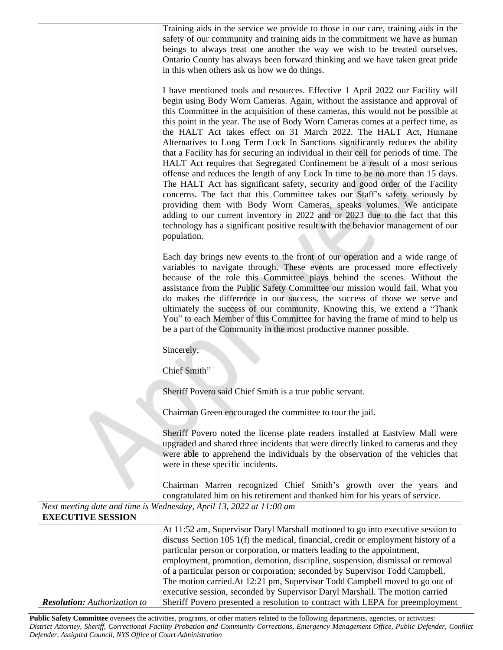|                                     | Training aids in the service we provide to those in our care, training aids in the<br>safety of our community and training aids in the commitment we have as human<br>beings to always treat one another the way we wish to be treated ourselves.<br>Ontario County has always been forward thinking and we have taken great pride<br>in this when others ask us how we do things.<br>I have mentioned tools and resources. Effective 1 April 2022 our Facility will<br>begin using Body Worn Cameras. Again, without the assistance and approval of<br>this Committee in the acquisition of these cameras, this would not be possible at<br>this point in the year. The use of Body Worn Cameras comes at a perfect time, as<br>the HALT Act takes effect on 31 March 2022. The HALT Act, Humane<br>Alternatives to Long Term Lock In Sanctions significantly reduces the ability<br>that a Facility has for securing an individual in their cell for periods of time. The<br>HALT Act requires that Segregated Confinement be a result of a most serious<br>offense and reduces the length of any Lock In time to be no more than 15 days.<br>The HALT Act has significant safety, security and good order of the Facility<br>concerns. The fact that this Committee takes our Staff's safety seriously by<br>providing them with Body Worn Cameras, speaks volumes. We anticipate<br>adding to our current inventory in 2022 and or 2023 due to the fact that this<br>technology has a significant positive result with the behavior management of our<br>population. |
|-------------------------------------|--------------------------------------------------------------------------------------------------------------------------------------------------------------------------------------------------------------------------------------------------------------------------------------------------------------------------------------------------------------------------------------------------------------------------------------------------------------------------------------------------------------------------------------------------------------------------------------------------------------------------------------------------------------------------------------------------------------------------------------------------------------------------------------------------------------------------------------------------------------------------------------------------------------------------------------------------------------------------------------------------------------------------------------------------------------------------------------------------------------------------------------------------------------------------------------------------------------------------------------------------------------------------------------------------------------------------------------------------------------------------------------------------------------------------------------------------------------------------------------------------------------------------------------------------------------------------|
|                                     | Each day brings new events to the front of our operation and a wide range of<br>variables to navigate through. These events are processed more effectively<br>because of the role this Committee plays behind the scenes. Without the<br>assistance from the Public Safety Committee our mission would fail. What you<br>do makes the difference in our success, the success of those we serve and<br>ultimately the success of our community. Knowing this, we extend a "Thank<br>You" to each Member of this Committee for having the frame of mind to help us<br>be a part of the Community in the most productive manner possible.                                                                                                                                                                                                                                                                                                                                                                                                                                                                                                                                                                                                                                                                                                                                                                                                                                                                                                                                   |
|                                     | Sincerely,                                                                                                                                                                                                                                                                                                                                                                                                                                                                                                                                                                                                                                                                                                                                                                                                                                                                                                                                                                                                                                                                                                                                                                                                                                                                                                                                                                                                                                                                                                                                                               |
|                                     | Chief Smith"                                                                                                                                                                                                                                                                                                                                                                                                                                                                                                                                                                                                                                                                                                                                                                                                                                                                                                                                                                                                                                                                                                                                                                                                                                                                                                                                                                                                                                                                                                                                                             |
|                                     | Sheriff Povero said Chief Smith is a true public servant.                                                                                                                                                                                                                                                                                                                                                                                                                                                                                                                                                                                                                                                                                                                                                                                                                                                                                                                                                                                                                                                                                                                                                                                                                                                                                                                                                                                                                                                                                                                |
|                                     | Chairman Green encouraged the committee to tour the jail.                                                                                                                                                                                                                                                                                                                                                                                                                                                                                                                                                                                                                                                                                                                                                                                                                                                                                                                                                                                                                                                                                                                                                                                                                                                                                                                                                                                                                                                                                                                |
|                                     | Sheriff Povero noted the license plate readers installed at Eastview Mall were<br>upgraded and shared three incidents that were directly linked to cameras and they<br>were able to apprehend the individuals by the observation of the vehicles that<br>were in these specific incidents.                                                                                                                                                                                                                                                                                                                                                                                                                                                                                                                                                                                                                                                                                                                                                                                                                                                                                                                                                                                                                                                                                                                                                                                                                                                                               |
|                                     | Chairman Marren recognized Chief Smith's growth over the years and<br>congratulated him on his retirement and thanked him for his years of service.                                                                                                                                                                                                                                                                                                                                                                                                                                                                                                                                                                                                                                                                                                                                                                                                                                                                                                                                                                                                                                                                                                                                                                                                                                                                                                                                                                                                                      |
|                                     | Next meeting date and time is Wednesday, April 13, 2022 at 11:00 am                                                                                                                                                                                                                                                                                                                                                                                                                                                                                                                                                                                                                                                                                                                                                                                                                                                                                                                                                                                                                                                                                                                                                                                                                                                                                                                                                                                                                                                                                                      |
| <b>EXECUTIVE SESSION</b>            |                                                                                                                                                                                                                                                                                                                                                                                                                                                                                                                                                                                                                                                                                                                                                                                                                                                                                                                                                                                                                                                                                                                                                                                                                                                                                                                                                                                                                                                                                                                                                                          |
|                                     | At 11:52 am, Supervisor Daryl Marshall motioned to go into executive session to<br>discuss Section 105 1(f) the medical, financial, credit or employment history of a<br>particular person or corporation, or matters leading to the appointment,<br>employment, promotion, demotion, discipline, suspension, dismissal or removal<br>of a particular person or corporation; seconded by Supervisor Todd Campbell.                                                                                                                                                                                                                                                                                                                                                                                                                                                                                                                                                                                                                                                                                                                                                                                                                                                                                                                                                                                                                                                                                                                                                       |
|                                     | The motion carried. At 12:21 pm, Supervisor Todd Campbell moved to go out of                                                                                                                                                                                                                                                                                                                                                                                                                                                                                                                                                                                                                                                                                                                                                                                                                                                                                                                                                                                                                                                                                                                                                                                                                                                                                                                                                                                                                                                                                             |
| <b>Resolution:</b> Authorization to | executive session, seconded by Supervisor Daryl Marshall. The motion carried<br>Sheriff Povero presented a resolution to contract with LEPA for preemployment                                                                                                                                                                                                                                                                                                                                                                                                                                                                                                                                                                                                                                                                                                                                                                                                                                                                                                                                                                                                                                                                                                                                                                                                                                                                                                                                                                                                            |

Public Safety Committee oversees the activities, programs, or other matters related to the following departments, agencies, or activities: District Attorney, Sheriff, Correctional Facility Probation and Community Corrections, Emergency Management Office, Public Defender, Conflict *Defender, Assigned Council, NYS Office of Court Administration*